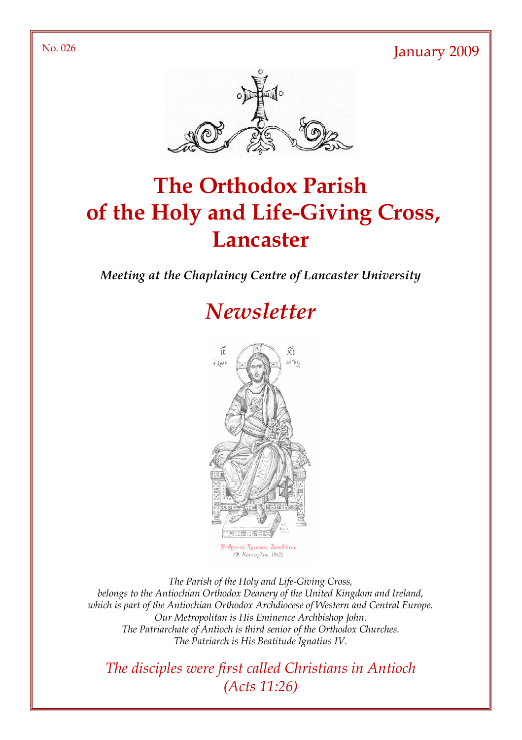No. 026 January 2009



# The Orthodox Parish of the Holy and Life-Giving Cross, **Lancaster**

Meeting at the Chaplaincy Centre of Lancaster University

# **Newsletter**



(Φ. Κόντογλου, 1962).

The Parish of the Holy and Life-Giving Cross, belongs to the Antiochian Orthodox Deanery of the United Kingdom and Ireland, which is part of the Antiochian Orthodox Archdiocese of Western and Central Europe. Our Metropolitan is His Eminence Archbishop John. The Patriarchate of Antioch is third senior of the Orthodox Churches. The Patriarch is His Beatitude Ignatius IV.

The disciples were first called Christians in Antioch (Acts 11:26)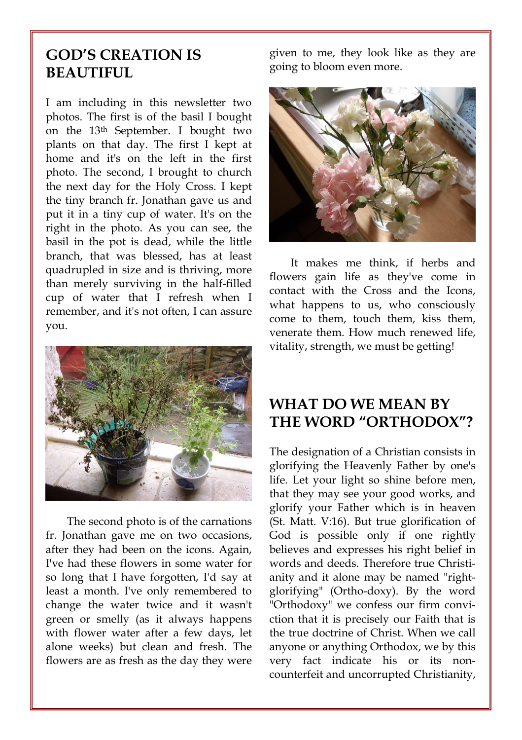### GOD'S CREATION IS BEAUTIFUL

I am including in this newsletter two photos. The first is of the basil I bought on the 13th September. I bought two plants on that day. The first I kept at home and it's on the left in the first photo. The second, I brought to church the next day for the Holy Cross. I kept the tiny branch fr. Jonathan gave us and put it in a tiny cup of water. It's on the right in the photo. As you can see, the basil in the pot is dead, while the little branch, that was blessed, has at least quadrupled in size and is thriving, more than merely surviving in the half-filled cup of water that I refresh when I remember, and it's not often, I can assure you.



The second photo is of the carnations fr. Jonathan gave me on two occasions, after they had been on the icons. Again, I've had these flowers in some water for so long that I have forgotten, I'd say at least a month. I've only remembered to change the water twice and it wasn't green or smelly (as it always happens with flower water after a few days, let alone weeks) but clean and fresh. The flowers are as fresh as the day they were given to me, they look like as they are going to bloom even more.



It makes me think, if herbs and flowers gain life as they've come in contact with the Cross and the Icons, what happens to us, who consciously come to them, touch them, kiss them, venerate them. How much renewed life, vitality, strength, we must be getting!

#### WHAT DO WE MEAN BY THE WORD "ORTHODOX"?

The designation of a Christian consists in glorifying the Heavenly Father by one's life. Let your light so shine before men, that they may see your good works, and glorify your Father which is in heaven (St. Matt. V:16). But true glorification of God is possible only if one rightly believes and expresses his right belief in words and deeds. Therefore true Christianity and it alone may be named "rightglorifying" (Ortho-doxy). By the word "Orthodoxy" we confess our firm conviction that it is precisely our Faith that is the true doctrine of Christ. When we call anyone or anything Orthodox, we by this very fact indicate his or its noncounterfeit and uncorrupted Christianity,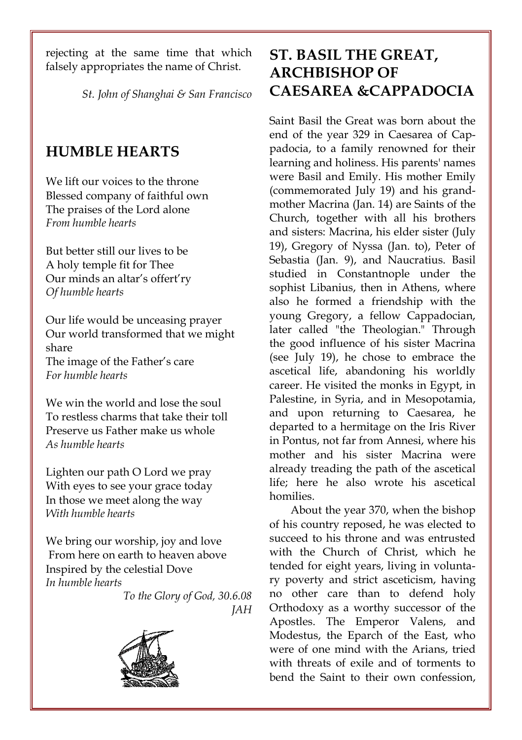rejecting at the same time that which falsely appropriates the name of Christ.

St. John of Shanghai & San Francisco

#### HUMBLE HEARTS

We lift our voices to the throne Blessed company of faithful own The praises of the Lord alone From humble hearts

But better still our lives to be A holy temple fit for Thee Our minds an altar's offert'ry Of humble hearts

Our life would be unceasing prayer Our world transformed that we might share The image of the Father's care For humble hearts

We win the world and lose the soul To restless charms that take their toll Preserve us Father make us whole As humble hearts

Lighten our path O Lord we pray With eyes to see your grace today In those we meet along the way With humble hearts

We bring our worship, joy and love From here on earth to heaven above Inspired by the celestial Dove In humble hearts





# ST. BASIL THE GREAT, ARCHBISHOP OF CAESAREA &CAPPADOCIA

Saint Basil the Great was born about the end of the year 329 in Caesarea of Cappadocia, to a family renowned for their learning and holiness. His parents' names were Basil and Emily. His mother Emily (commemorated July 19) and his grandmother Macrina (Jan. 14) are Saints of the Church, together with all his brothers and sisters: Macrina, his elder sister (July 19), Gregory of Nyssa (Jan. to), Peter of Sebastia (Jan. 9), and Naucratius. Basil studied in Constantnople under the sophist Libanius, then in Athens, where also he formed a friendship with the young Gregory, a fellow Cappadocian, later called "the Theologian." Through the good influence of his sister Macrina (see July 19), he chose to embrace the ascetical life, abandoning his worldly career. He visited the monks in Egypt, in Palestine, in Syria, and in Mesopotamia, and upon returning to Caesarea, he departed to a hermitage on the Iris River in Pontus, not far from Annesi, where his mother and his sister Macrina were already treading the path of the ascetical life; here he also wrote his ascetical homilies.

About the year 370, when the bishop of his country reposed, he was elected to succeed to his throne and was entrusted with the Church of Christ, which he tended for eight years, living in voluntary poverty and strict asceticism, having no other care than to defend holy Orthodoxy as a worthy successor of the Apostles. The Emperor Valens, and Modestus, the Eparch of the East, who were of one mind with the Arians, tried with threats of exile and of torments to bend the Saint to their own confession,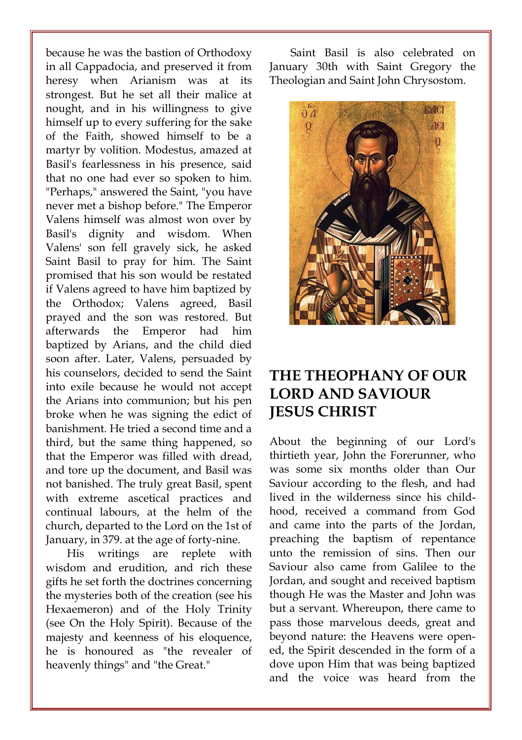because he was the bastion of Orthodoxy in all Cappadocia, and preserved it from heresy when Arianism was at its strongest. But he set all their malice at nought, and in his willingness to give himself up to every suffering for the sake of the Faith, showed himself to be a martyr by volition. Modestus, amazed at Basil's fearlessness in his presence, said that no one had ever so spoken to him. "Perhaps," answered the Saint, "you have never met a bishop before." The Emperor Valens himself was almost won over by Basil's dignity and wisdom. When Valens' son fell gravely sick, he asked Saint Basil to pray for him. The Saint promised that his son would be restated if Valens agreed to have him baptized by the Orthodox; Valens agreed, Basil prayed and the son was restored. But afterwards the Emperor had him baptized by Arians, and the child died soon after. Later, Valens, persuaded by his counselors, decided to send the Saint into exile because he would not accept the Arians into communion; but his pen broke when he was signing the edict of banishment. He tried a second time and a third, but the same thing happened, so that the Emperor was filled with dread, and tore up the document, and Basil was not banished. The truly great Basil, spent with extreme ascetical practices and continual labours, at the helm of the church, departed to the Lord on the 1st of January, in 379. at the age of forty-nine.

His writings are replete with wisdom and erudition, and rich these gifts he set forth the doctrines concerning the mysteries both of the creation (see his Hexaemeron) and of the Holy Trinity (see On the Holy Spirit). Because of the majesty and keenness of his eloquence, he is honoured as "the revealer of heavenly things" and "the Great."

Saint Basil is also celebrated on January 30th with Saint Gregory the Theologian and Saint John Chrysostom.



#### THE THEOPHANY OF OUR LORD AND SAVIOUR JESUS CHRIST

About the beginning of our Lord's thirtieth year, John the Forerunner, who was some six months older than Our Saviour according to the flesh, and had lived in the wilderness since his childhood, received a command from God and came into the parts of the Jordan, preaching the baptism of repentance unto the remission of sins. Then our Saviour also came from Galilee to the Jordan, and sought and received baptism though He was the Master and John was but a servant. Whereupon, there came to pass those marvelous deeds, great and beyond nature: the Heavens were opened, the Spirit descended in the form of a dove upon Him that was being baptized and the voice was heard from the